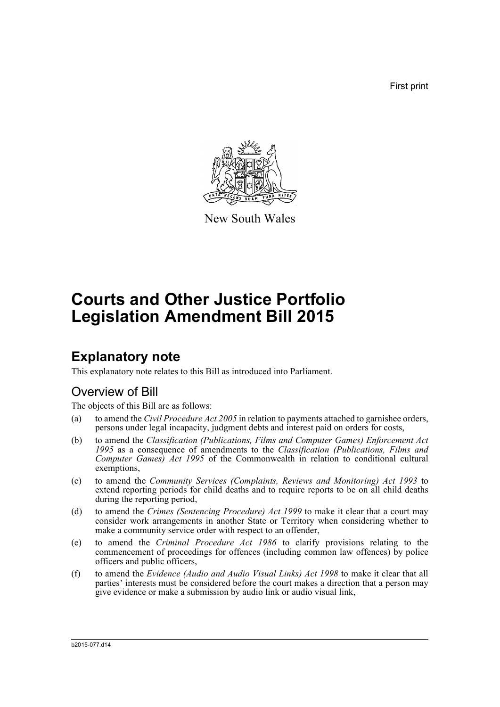First print



New South Wales

# **Courts and Other Justice Portfolio Legislation Amendment Bill 2015**

### **Explanatory note**

This explanatory note relates to this Bill as introduced into Parliament.

### Overview of Bill

The objects of this Bill are as follows:

- (a) to amend the *Civil Procedure Act 2005* in relation to payments attached to garnishee orders, persons under legal incapacity, judgment debts and interest paid on orders for costs,
- (b) to amend the *Classification (Publications, Films and Computer Games) Enforcement Act 1995* as a consequence of amendments to the *Classification (Publications, Films and Computer Games) Act 1995* of the Commonwealth in relation to conditional cultural exemptions,
- (c) to amend the *Community Services (Complaints, Reviews and Monitoring) Act 1993* to extend reporting periods for child deaths and to require reports to be on all child deaths during the reporting period,
- (d) to amend the *Crimes (Sentencing Procedure) Act 1999* to make it clear that a court may consider work arrangements in another State or Territory when considering whether to make a community service order with respect to an offender,
- (e) to amend the *Criminal Procedure Act 1986* to clarify provisions relating to the commencement of proceedings for offences (including common law offences) by police officers and public officers,
- (f) to amend the *Evidence (Audio and Audio Visual Links) Act 1998* to make it clear that all parties' interests must be considered before the court makes a direction that a person may give evidence or make a submission by audio link or audio visual link,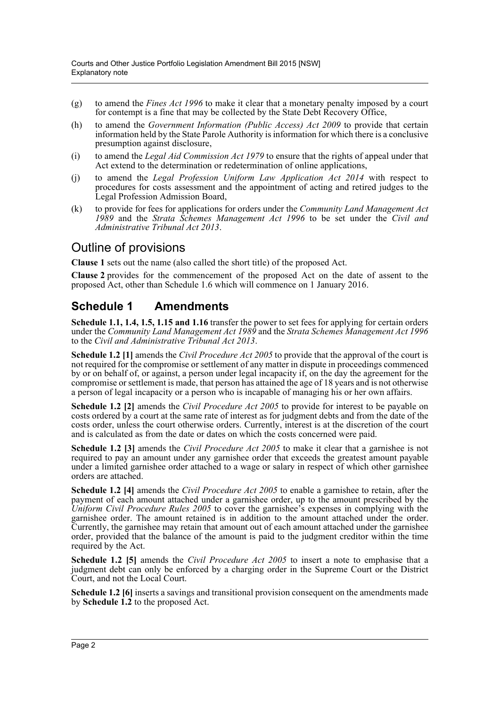- (g) to amend the *Fines Act 1996* to make it clear that a monetary penalty imposed by a court for contempt is a fine that may be collected by the State Debt Recovery Office,
- (h) to amend the *Government Information (Public Access) Act 2009* to provide that certain information held by the State Parole Authority is information for which there is a conclusive presumption against disclosure,
- (i) to amend the *Legal Aid Commission Act 1979* to ensure that the rights of appeal under that Act extend to the determination or redetermination of online applications,
- (j) to amend the *Legal Profession Uniform Law Application Act 2014* with respect to procedures for costs assessment and the appointment of acting and retired judges to the Legal Profession Admission Board,
- (k) to provide for fees for applications for orders under the *Community Land Management Act 1989* and the *Strata Schemes Management Act 1996* to be set under the *Civil and Administrative Tribunal Act 2013*.

#### Outline of provisions

**Clause 1** sets out the name (also called the short title) of the proposed Act.

**Clause 2** provides for the commencement of the proposed Act on the date of assent to the proposed Act, other than Schedule 1.6 which will commence on 1 January 2016.

#### **Schedule 1 Amendments**

**Schedule 1.1, 1.4, 1.5, 1.15 and 1.16** transfer the power to set fees for applying for certain orders under the *Community Land Management Act 1989* and the *Strata Schemes Management Act 1996* to the *Civil and Administrative Tribunal Act 2013*.

**Schedule 1.2 [1]** amends the *Civil Procedure Act 2005* to provide that the approval of the court is not required for the compromise or settlement of any matter in dispute in proceedings commenced by or on behalf of, or against, a person under legal incapacity if, on the day the agreement for the compromise or settlement is made, that person has attained the age of 18 years and is not otherwise a person of legal incapacity or a person who is incapable of managing his or her own affairs.

**Schedule 1.2 [2]** amends the *Civil Procedure Act 2005* to provide for interest to be payable on costs ordered by a court at the same rate of interest as for judgment debts and from the date of the costs order, unless the court otherwise orders. Currently, interest is at the discretion of the court and is calculated as from the date or dates on which the costs concerned were paid.

**Schedule 1.2 [3]** amends the *Civil Procedure Act 2005* to make it clear that a garnishee is not required to pay an amount under any garnishee order that exceeds the greatest amount payable under a limited garnishee order attached to a wage or salary in respect of which other garnishee orders are attached.

**Schedule 1.2 [4]** amends the *Civil Procedure Act 2005* to enable a garnishee to retain, after the payment of each amount attached under a garnishee order, up to the amount prescribed by the *Uniform Civil Procedure Rules 2005* to cover the garnishee's expenses in complying with the garnishee order. The amount retained is in addition to the amount attached under the order. Currently, the garnishee may retain that amount out of each amount attached under the garnishee order, provided that the balance of the amount is paid to the judgment creditor within the time required by the Act.

**Schedule 1.2 [5]** amends the *Civil Procedure Act 2005* to insert a note to emphasise that a judgment debt can only be enforced by a charging order in the Supreme Court or the District Court, and not the Local Court.

**Schedule 1.2 [6]** inserts a savings and transitional provision consequent on the amendments made by **Schedule 1.2** to the proposed Act.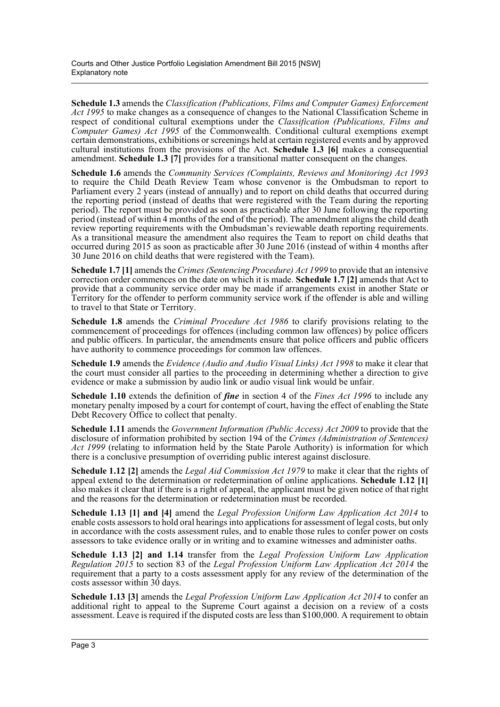**Schedule 1.3** amends the *Classification (Publications, Films and Computer Games) Enforcement Act 1995* to make changes as a consequence of changes to the National Classification Scheme in respect of conditional cultural exemptions under the *Classification (Publications, Films and Computer Games) Act 1995* of the Commonwealth. Conditional cultural exemptions exempt certain demonstrations, exhibitions or screenings held at certain registered events and by approved cultural institutions from the provisions of the Act. **Schedule 1.3 [6]** makes a consequential amendment. **Schedule 1.3** [7] provides for a transitional matter consequent on the changes.

**Schedule 1.6** amends the *Community Services (Complaints, Reviews and Monitoring) Act 1993* to require the Child Death Review Team whose convenor is the Ombudsman to report to Parliament every 2 years (instead of annually) and to report on child deaths that occurred during the reporting period (instead of deaths that were registered with the Team during the reporting period). The report must be provided as soon as practicable after 30 June following the reporting period (instead of within 4 months of the end of the period). The amendment aligns the child death review reporting requirements with the Ombudsman's reviewable death reporting requirements. As a transitional measure the amendment also requires the Team to report on child deaths that occurred during 2015 as soon as practicable after 30 June 2016 (instead of within 4 months after 30 June 2016 on child deaths that were registered with the Team).

**Schedule 1.7 [1]** amends the *Crimes (Sentencing Procedure) Act 1999* to provide that an intensive correction order commences on the date on which it is made. **Schedule 1.7 [2]** amends that Act to provide that a community service order may be made if arrangements exist in another State or Territory for the offender to perform community service work if the offender is able and willing to travel to that State or Territory.

**Schedule 1.8** amends the *Criminal Procedure Act 1986* to clarify provisions relating to the commencement of proceedings for offences (including common law offences) by police officers and public officers. In particular, the amendments ensure that police officers and public officers have authority to commence proceedings for common law offences.

**Schedule 1.9** amends the *Evidence (Audio and Audio Visual Links) Act 1998* to make it clear that the court must consider all parties to the proceeding in determining whether a direction to give evidence or make a submission by audio link or audio visual link would be unfair.

**Schedule 1.10** extends the definition of *fine* in section 4 of the *Fines Act 1996* to include any monetary penalty imposed by a court for contempt of court, having the effect of enabling the State Debt Recovery Office to collect that penalty.

**Schedule 1.11** amends the *Government Information (Public Access) Act 2009* to provide that the disclosure of information prohibited by section 194 of the *Crimes (Administration of Sentences) Act 1999* (relating to information held by the State Parole Authority) is information for which there is a conclusive presumption of overriding public interest against disclosure.

**Schedule 1.12 [2]** amends the *Legal Aid Commission Act 1979* to make it clear that the rights of appeal extend to the determination or redetermination of online applications. **Schedule 1.12 [1]** also makes it clear that if there is a right of appeal, the applicant must be given notice of that right and the reasons for the determination or redetermination must be recorded.

**Schedule 1.13 [1] and [4]** amend the *Legal Profession Uniform Law Application Act 2014* to enable costs assessors to hold oral hearings into applications for assessment of legal costs, but only in accordance with the costs assessment rules, and to enable those rules to confer power on costs assessors to take evidence orally or in writing and to examine witnesses and administer oaths.

**Schedule 1.13 [2] and 1.14** transfer from the *Legal Profession Uniform Law Application Regulation 2015* to section 83 of the *Legal Profession Uniform Law Application Act 2014* the requirement that a party to a costs assessment apply for any review of the determination of the costs assessor within 30 days.

**Schedule 1.13 [3]** amends the *Legal Profession Uniform Law Application Act 2014* to confer an additional right to appeal to the Supreme Court against a decision on a review of a costs assessment. Leave is required if the disputed costs are less than \$100,000. A requirement to obtain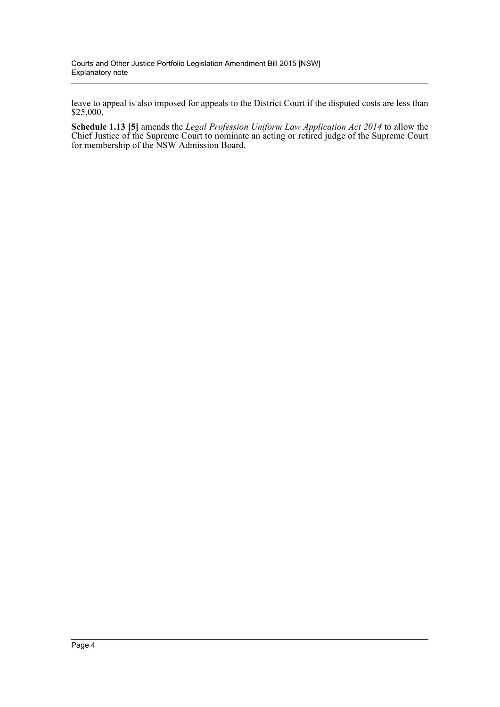leave to appeal is also imposed for appeals to the District Court if the disputed costs are less than \$25,000.

**Schedule 1.13 [5]** amends the *Legal Profession Uniform Law Application Act 2014* to allow the Chief Justice of the Supreme Court to nominate an acting or retired judge of the Supreme Court for membership of the NSW Admission Board.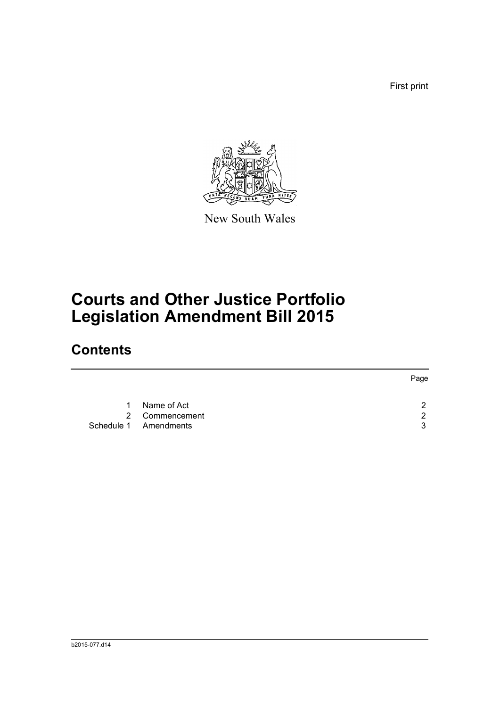First print



New South Wales

# **Courts and Other Justice Portfolio Legislation Amendment Bill 2015**

### **Contents**

|   |                       | Page |
|---|-----------------------|------|
| 1 | Name of Act           | າ    |
|   | 2 Commencement        | 2    |
|   | Schedule 1 Amendments | 3    |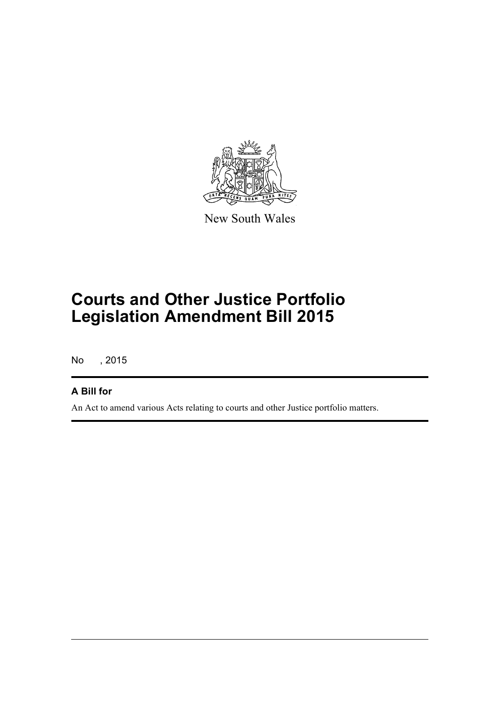

New South Wales

## **Courts and Other Justice Portfolio Legislation Amendment Bill 2015**

No , 2015

#### **A Bill for**

An Act to amend various Acts relating to courts and other Justice portfolio matters.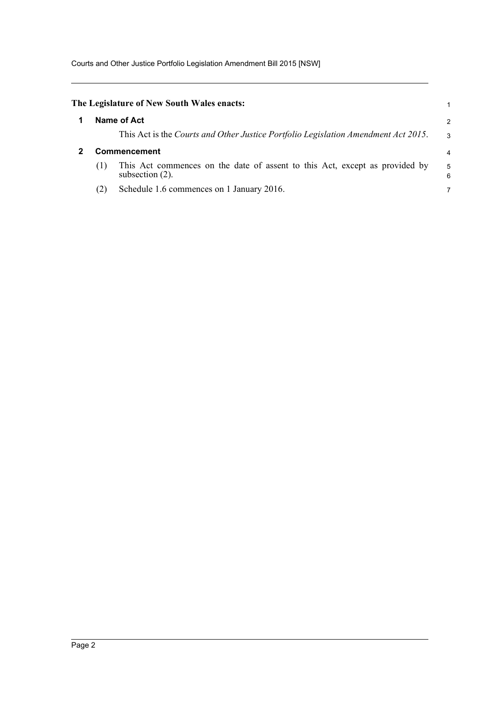Courts and Other Justice Portfolio Legislation Amendment Bill 2015 [NSW]

<span id="page-6-1"></span><span id="page-6-0"></span>

|                     |     | The Legislature of New South Wales enacts:                                                        |                |
|---------------------|-----|---------------------------------------------------------------------------------------------------|----------------|
|                     |     | Name of Act                                                                                       | $\overline{2}$ |
|                     |     | This Act is the Courts and Other Justice Portfolio Legislation Amendment Act 2015.                | 3              |
| <b>Commencement</b> |     |                                                                                                   | $\overline{4}$ |
|                     | (1) | This Act commences on the date of assent to this Act, except as provided by<br>subsection $(2)$ . | 5<br>6         |
|                     | (2) | Schedule 1.6 commences on 1 January 2016.                                                         | 7              |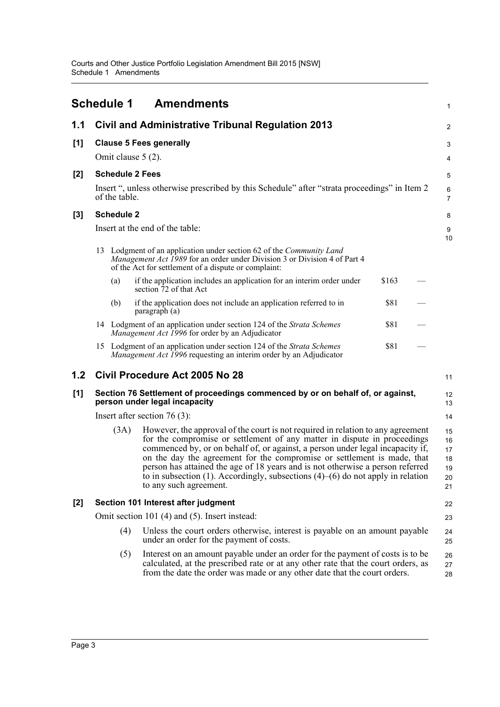<span id="page-7-0"></span>

|                                                                                                                        |  | <b>Schedule 1</b>                    | <b>Amendments</b>                                                                                                                                                                                                                                                                                                                                                                                                                                                                                                             |       |  | 1                                      |  |
|------------------------------------------------------------------------------------------------------------------------|--|--------------------------------------|-------------------------------------------------------------------------------------------------------------------------------------------------------------------------------------------------------------------------------------------------------------------------------------------------------------------------------------------------------------------------------------------------------------------------------------------------------------------------------------------------------------------------------|-------|--|----------------------------------------|--|
| 1.1                                                                                                                    |  |                                      | Civil and Administrative Tribunal Regulation 2013                                                                                                                                                                                                                                                                                                                                                                                                                                                                             |       |  | 2                                      |  |
| [1]                                                                                                                    |  |                                      | <b>Clause 5 Fees generally</b>                                                                                                                                                                                                                                                                                                                                                                                                                                                                                                |       |  | 3                                      |  |
|                                                                                                                        |  |                                      | Omit clause $5(2)$ .                                                                                                                                                                                                                                                                                                                                                                                                                                                                                                          |       |  | 4                                      |  |
| [2]                                                                                                                    |  |                                      | <b>Schedule 2 Fees</b>                                                                                                                                                                                                                                                                                                                                                                                                                                                                                                        |       |  | 5                                      |  |
|                                                                                                                        |  | of the table.                        | Insert ", unless otherwise prescribed by this Schedule" after "strata proceedings" in Item 2                                                                                                                                                                                                                                                                                                                                                                                                                                  |       |  | 6<br>$\overline{7}$                    |  |
| $[3]$                                                                                                                  |  | <b>Schedule 2</b>                    |                                                                                                                                                                                                                                                                                                                                                                                                                                                                                                                               |       |  | 8                                      |  |
|                                                                                                                        |  |                                      | Insert at the end of the table:                                                                                                                                                                                                                                                                                                                                                                                                                                                                                               |       |  | 9<br>10                                |  |
|                                                                                                                        |  |                                      | 13 Lodgment of an application under section 62 of the Community Land<br>Management Act 1989 for an order under Division 3 or Division 4 of Part 4<br>of the Act for settlement of a dispute or complaint:                                                                                                                                                                                                                                                                                                                     |       |  |                                        |  |
|                                                                                                                        |  | (a)                                  | if the application includes an application for an interim order under<br>section 72 of that Act                                                                                                                                                                                                                                                                                                                                                                                                                               | \$163 |  |                                        |  |
|                                                                                                                        |  | (b)                                  | if the application does not include an application referred to in<br>paragraph (a)                                                                                                                                                                                                                                                                                                                                                                                                                                            | \$81  |  |                                        |  |
|                                                                                                                        |  |                                      | 14 Lodgment of an application under section 124 of the Strata Schemes<br>Management Act 1996 for order by an Adjudicator                                                                                                                                                                                                                                                                                                                                                                                                      | \$81  |  |                                        |  |
|                                                                                                                        |  |                                      | 15 Lodgment of an application under section 124 of the Strata Schemes<br><i>Management Act 1996</i> requesting an interim order by an Adjudicator                                                                                                                                                                                                                                                                                                                                                                             | \$81  |  |                                        |  |
| 1.2                                                                                                                    |  | Civil Procedure Act 2005 No 28<br>11 |                                                                                                                                                                                                                                                                                                                                                                                                                                                                                                                               |       |  |                                        |  |
| [1]<br>Section 76 Settlement of proceedings commenced by or on behalf of, or against,<br>person under legal incapacity |  |                                      |                                                                                                                                                                                                                                                                                                                                                                                                                                                                                                                               |       |  | 12<br>13                               |  |
|                                                                                                                        |  |                                      | Insert after section 76 $(3)$ :                                                                                                                                                                                                                                                                                                                                                                                                                                                                                               |       |  | 14                                     |  |
|                                                                                                                        |  | (3A)                                 | However, the approval of the court is not required in relation to any agreement<br>for the compromise or settlement of any matter in dispute in proceedings<br>commenced by, or on behalf of, or against, a person under legal incapacity if,<br>on the day the agreement for the compromise or settlement is made, that<br>person has attained the age of 18 years and is not otherwise a person referred<br>to in subsection (1). Accordingly, subsections $(4)$ – $(6)$ do not apply in relation<br>to any such agreement. |       |  | 15<br>16<br>17<br>18<br>19<br>20<br>21 |  |
| $[2]$                                                                                                                  |  |                                      | Section 101 Interest after judgment                                                                                                                                                                                                                                                                                                                                                                                                                                                                                           |       |  | 22                                     |  |
|                                                                                                                        |  |                                      | Omit section 101 (4) and (5). Insert instead:                                                                                                                                                                                                                                                                                                                                                                                                                                                                                 |       |  | 23                                     |  |
|                                                                                                                        |  | (4)                                  | Unless the court orders otherwise, interest is payable on an amount payable<br>under an order for the payment of costs.                                                                                                                                                                                                                                                                                                                                                                                                       |       |  | 24<br>25                               |  |
|                                                                                                                        |  | (5)                                  | Interest on an amount payable under an order for the payment of costs is to be<br>calculated, at the prescribed rate or at any other rate that the court orders, as<br>from the date the order was made or any other date that the court orders.                                                                                                                                                                                                                                                                              |       |  | 26<br>27<br>28                         |  |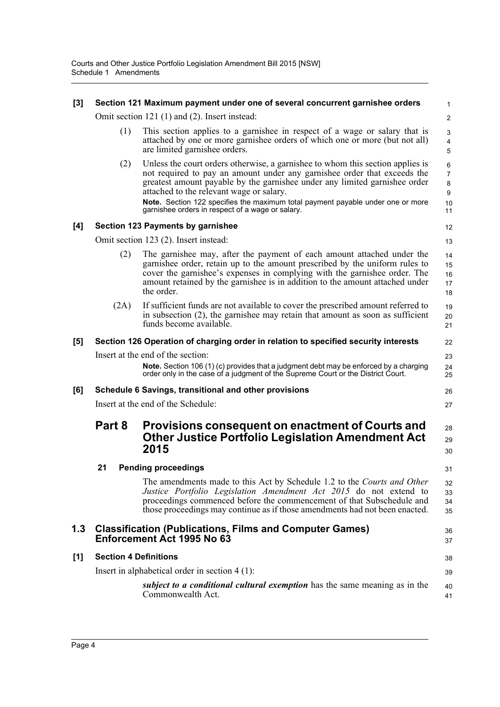| [3] |                              | Section 121 Maximum payment under one of several concurrent garnishee orders                                                                                                                                                                                                                                                                                            | 1                                   |
|-----|------------------------------|-------------------------------------------------------------------------------------------------------------------------------------------------------------------------------------------------------------------------------------------------------------------------------------------------------------------------------------------------------------------------|-------------------------------------|
|     |                              | Omit section 121 (1) and (2). Insert instead:                                                                                                                                                                                                                                                                                                                           | 2                                   |
|     | (1)                          | This section applies to a garnishee in respect of a wage or salary that is<br>attached by one or more garnishee orders of which one or more (but not all)<br>are limited garnishee orders.                                                                                                                                                                              | 3<br>$\overline{\mathbf{4}}$<br>5   |
|     | (2)                          | Unless the court orders otherwise, a garnishee to whom this section applies is<br>not required to pay an amount under any garnishee order that exceeds the<br>greatest amount payable by the garnishee under any limited garnishee order<br>attached to the relevant wage or salary.<br>Note. Section 122 specifies the maximum total payment payable under one or more | 6<br>$\overline{7}$<br>8<br>9<br>10 |
|     |                              | garnishee orders in respect of a wage or salary.                                                                                                                                                                                                                                                                                                                        | 11                                  |
| [4] |                              | Section 123 Payments by garnishee                                                                                                                                                                                                                                                                                                                                       | 12                                  |
|     |                              | Omit section 123 (2). Insert instead:                                                                                                                                                                                                                                                                                                                                   | 13                                  |
|     | (2)                          | The garnishee may, after the payment of each amount attached under the<br>garnishee order, retain up to the amount prescribed by the uniform rules to<br>cover the garnishee's expenses in complying with the garnishee order. The<br>amount retained by the garnishee is in addition to the amount attached under<br>the order.                                        | 14<br>15<br>16<br>17<br>18          |
|     | (2A)                         | If sufficient funds are not available to cover the prescribed amount referred to<br>in subsection (2), the garnishee may retain that amount as soon as sufficient<br>funds become available.                                                                                                                                                                            | 19<br>20<br>21                      |
| [5] |                              | Section 126 Operation of charging order in relation to specified security interests                                                                                                                                                                                                                                                                                     | 22                                  |
|     |                              | Insert at the end of the section:<br>Note. Section 106 (1) (c) provides that a judgment debt may be enforced by a charging order only in the case of a judgment of the Supreme Court or the District Court.                                                                                                                                                             | 23<br>24<br>25                      |
| [6] |                              | Schedule 6 Savings, transitional and other provisions                                                                                                                                                                                                                                                                                                                   | 26                                  |
|     |                              | Insert at the end of the Schedule:                                                                                                                                                                                                                                                                                                                                      | 27                                  |
|     | Part 8                       | Provisions consequent on enactment of Courts and<br><b>Other Justice Portfolio Legislation Amendment Act</b><br>2015                                                                                                                                                                                                                                                    | 28<br>29<br>30                      |
|     | 21                           | <b>Pending proceedings</b>                                                                                                                                                                                                                                                                                                                                              | 31                                  |
|     |                              | The amendments made to this Act by Schedule 1.2 to the Courts and Other<br>Justice Portfolio Legislation Amendment Act 2015 do not extend to<br>proceedings commenced before the commencement of that Subschedule and<br>those proceedings may continue as if those amendments had not been enacted.                                                                    | 32<br>33<br>34<br>35                |
| 1.3 |                              | <b>Classification (Publications, Films and Computer Games)</b><br>Enforcement Act 1995 No 63                                                                                                                                                                                                                                                                            | 36<br>37                            |
| [1] | <b>Section 4 Definitions</b> |                                                                                                                                                                                                                                                                                                                                                                         | 38                                  |
|     |                              | Insert in alphabetical order in section $4(1)$ :                                                                                                                                                                                                                                                                                                                        | 39                                  |
|     |                              | <i>subject to a conditional cultural exemption</i> has the same meaning as in the<br>Commonwealth Act.                                                                                                                                                                                                                                                                  | 40<br>41                            |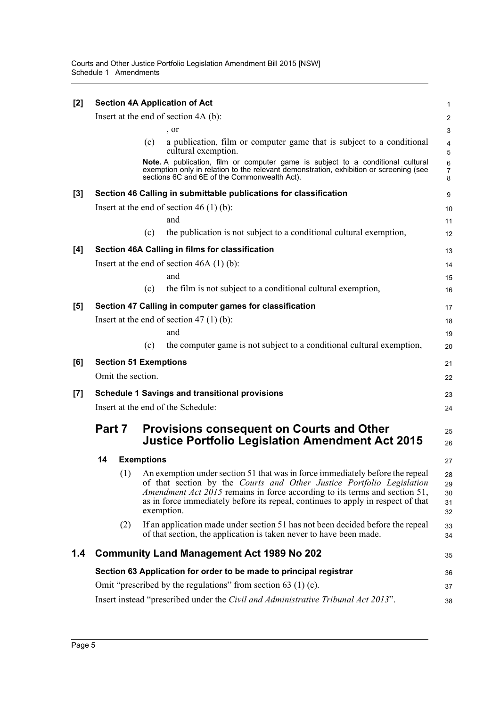| $[2]$ | <b>Section 4A Application of Act</b>                               |                                                                                                                                                                                                                                                                                                                                               |                                |  |
|-------|--------------------------------------------------------------------|-----------------------------------------------------------------------------------------------------------------------------------------------------------------------------------------------------------------------------------------------------------------------------------------------------------------------------------------------|--------------------------------|--|
|       | Insert at the end of section 4A (b):                               |                                                                                                                                                                                                                                                                                                                                               |                                |  |
|       |                                                                    | , or                                                                                                                                                                                                                                                                                                                                          | 3                              |  |
|       |                                                                    | a publication, film or computer game that is subject to a conditional<br>(c)<br>cultural exemption.                                                                                                                                                                                                                                           | $\overline{\mathbf{4}}$<br>5   |  |
|       |                                                                    | Note. A publication, film or computer game is subject to a conditional cultural<br>exemption only in relation to the relevant demonstration, exhibition or screening (see<br>sections 6C and 6E of the Commonwealth Act).                                                                                                                     | $\,6\,$<br>$\overline{7}$<br>8 |  |
| $[3]$ |                                                                    | Section 46 Calling in submittable publications for classification                                                                                                                                                                                                                                                                             | 9                              |  |
|       |                                                                    | Insert at the end of section 46 $(1)$ (b):                                                                                                                                                                                                                                                                                                    | 10                             |  |
|       |                                                                    | and                                                                                                                                                                                                                                                                                                                                           | 11                             |  |
|       |                                                                    | the publication is not subject to a conditional cultural exemption,<br>(c)                                                                                                                                                                                                                                                                    | 12                             |  |
| $[4]$ |                                                                    | Section 46A Calling in films for classification                                                                                                                                                                                                                                                                                               | 13                             |  |
|       |                                                                    | Insert at the end of section $46A(1)(b)$ :                                                                                                                                                                                                                                                                                                    | 14                             |  |
|       |                                                                    | and                                                                                                                                                                                                                                                                                                                                           | 15                             |  |
|       |                                                                    | the film is not subject to a conditional cultural exemption,<br>(c)                                                                                                                                                                                                                                                                           | 16                             |  |
| [5]   |                                                                    | Section 47 Calling in computer games for classification                                                                                                                                                                                                                                                                                       | 17                             |  |
|       |                                                                    | Insert at the end of section 47 $(1)$ $(b)$ :                                                                                                                                                                                                                                                                                                 | 18                             |  |
|       |                                                                    | and                                                                                                                                                                                                                                                                                                                                           | 19                             |  |
|       |                                                                    | the computer game is not subject to a conditional cultural exemption,<br>(c)                                                                                                                                                                                                                                                                  | 20                             |  |
| [6]   |                                                                    | <b>Section 51 Exemptions</b>                                                                                                                                                                                                                                                                                                                  | 21                             |  |
|       | Omit the section.                                                  |                                                                                                                                                                                                                                                                                                                                               | 22                             |  |
| [7]   | <b>Schedule 1 Savings and transitional provisions</b>              |                                                                                                                                                                                                                                                                                                                                               |                                |  |
|       |                                                                    | Insert at the end of the Schedule:                                                                                                                                                                                                                                                                                                            | 24                             |  |
|       | Part 7                                                             | <b>Provisions consequent on Courts and Other</b><br><b>Justice Portfolio Legislation Amendment Act 2015</b>                                                                                                                                                                                                                                   | 25<br>26                       |  |
|       | 14                                                                 | <b>Exemptions</b>                                                                                                                                                                                                                                                                                                                             | 27                             |  |
|       | (1)                                                                | An exemption under section 51 that was in force immediately before the repeal<br>of that section by the Courts and Other Justice Portfolio Legislation<br><i>Amendment Act 2015</i> remains in force according to its terms and section 51,<br>as in force immediately before its repeal, continues to apply in respect of that<br>exemption. | 28<br>29<br>30<br>31<br>32     |  |
|       | (2)                                                                | If an application made under section 51 has not been decided before the repeal<br>of that section, the application is taken never to have been made.                                                                                                                                                                                          | 33<br>34                       |  |
| 1.4   |                                                                    | <b>Community Land Management Act 1989 No 202</b>                                                                                                                                                                                                                                                                                              | 35                             |  |
|       | Section 63 Application for order to be made to principal registrar |                                                                                                                                                                                                                                                                                                                                               |                                |  |
|       | Omit "prescribed by the regulations" from section 63 (1) (c).      |                                                                                                                                                                                                                                                                                                                                               |                                |  |
|       |                                                                    | Insert instead "prescribed under the Civil and Administrative Tribunal Act 2013".                                                                                                                                                                                                                                                             | 38                             |  |
|       |                                                                    |                                                                                                                                                                                                                                                                                                                                               |                                |  |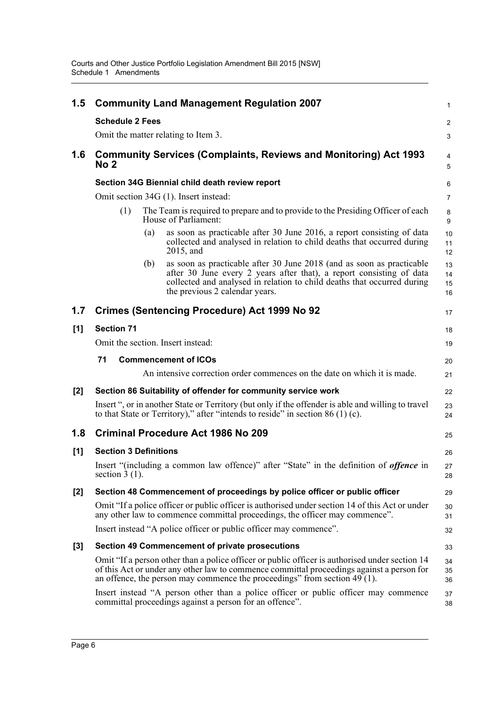| 1.5   |                                                 | <b>Community Land Management Regulation 2007</b>                                                                                                                                                                                                                         | $\mathbf{1}$         |
|-------|-------------------------------------------------|--------------------------------------------------------------------------------------------------------------------------------------------------------------------------------------------------------------------------------------------------------------------------|----------------------|
|       | <b>Schedule 2 Fees</b>                          |                                                                                                                                                                                                                                                                          | 2                    |
|       | Omit the matter relating to Item 3.             |                                                                                                                                                                                                                                                                          | 3                    |
| 1.6   | No 2                                            | <b>Community Services (Complaints, Reviews and Monitoring) Act 1993</b>                                                                                                                                                                                                  | $\overline{4}$<br>5  |
|       |                                                 | Section 34G Biennial child death review report                                                                                                                                                                                                                           | 6                    |
|       | Omit section 34G (1). Insert instead:           |                                                                                                                                                                                                                                                                          | 7                    |
|       | (1)                                             | The Team is required to prepare and to provide to the Presiding Officer of each<br>House of Parliament:                                                                                                                                                                  | 8<br>9               |
|       | (a)                                             | as soon as practicable after 30 June 2016, a report consisting of data<br>collected and analysed in relation to child deaths that occurred during<br>2015, and                                                                                                           | 10<br>11<br>12       |
|       | (b)                                             | as soon as practicable after 30 June 2018 (and as soon as practicable<br>after 30 June every 2 years after that), a report consisting of data<br>collected and analysed in relation to child deaths that occurred during<br>the previous 2 calendar years.               | 13<br>14<br>15<br>16 |
| 1.7   |                                                 | <b>Crimes (Sentencing Procedure) Act 1999 No 92</b>                                                                                                                                                                                                                      | 17                   |
| [1]   | <b>Section 71</b>                               |                                                                                                                                                                                                                                                                          | 18                   |
|       | Omit the section. Insert instead:               |                                                                                                                                                                                                                                                                          | 19                   |
|       | 71<br><b>Commencement of ICOs</b>               |                                                                                                                                                                                                                                                                          | 20                   |
|       |                                                 | An intensive correction order commences on the date on which it is made.                                                                                                                                                                                                 | 21                   |
| [2]   |                                                 | Section 86 Suitability of offender for community service work                                                                                                                                                                                                            | 22                   |
|       |                                                 | Insert ", or in another State or Territory (but only if the offender is able and willing to travel<br>to that State or Territory)," after "intends to reside" in section $86(1)(c)$ .                                                                                    | 23<br>24             |
| 1.8   | <b>Criminal Procedure Act 1986 No 209</b><br>25 |                                                                                                                                                                                                                                                                          |                      |
| [1]   | <b>Section 3 Definitions</b>                    |                                                                                                                                                                                                                                                                          | 26                   |
|       | section $3(1)$ .                                | Insert "(including a common law offence)" after "State" in the definition of <i>offence</i> in                                                                                                                                                                           | 27<br>28             |
| [2]   |                                                 | Section 48 Commencement of proceedings by police officer or public officer                                                                                                                                                                                               | 29                   |
|       |                                                 | Omit "If a police officer or public officer is authorised under section 14 of this Act or under<br>any other law to commence committal proceedings, the officer may commence".                                                                                           | 30<br>31             |
|       |                                                 | Insert instead "A police officer or public officer may commence".                                                                                                                                                                                                        | 32                   |
| $[3]$ |                                                 | <b>Section 49 Commencement of private prosecutions</b>                                                                                                                                                                                                                   | 33                   |
|       |                                                 | Omit "If a person other than a police officer or public officer is authorised under section 14<br>of this Act or under any other law to commence committal proceedings against a person for<br>an offence, the person may commence the proceedings" from section 49 (1). | 34<br>35<br>36       |
|       |                                                 | Insert instead "A person other than a police officer or public officer may commence<br>committal proceedings against a person for an offence".                                                                                                                           | 37<br>38             |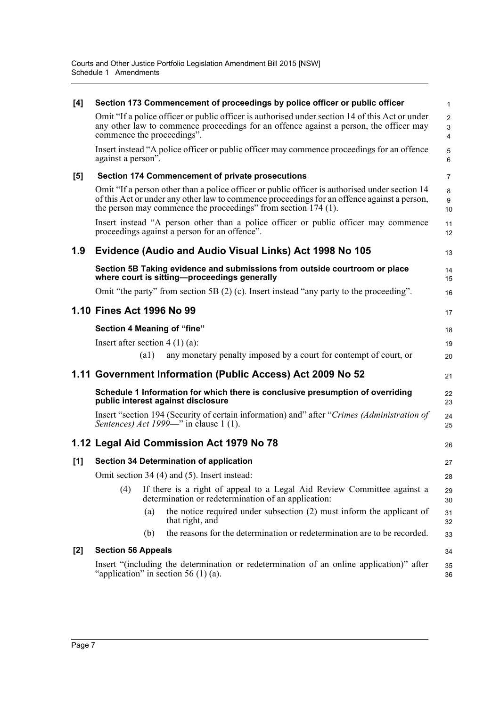| [4]   |                                  |                    | Section 173 Commencement of proceedings by police officer or public officer                                                                                                                                                                                     | $\mathbf{1}$                                    |
|-------|----------------------------------|--------------------|-----------------------------------------------------------------------------------------------------------------------------------------------------------------------------------------------------------------------------------------------------------------|-------------------------------------------------|
|       | commence the proceedings".       |                    | Omit "If a police officer or public officer is authorised under section 14 of this Act or under<br>any other law to commence proceedings for an offence against a person, the officer may                                                                       | $\overline{2}$<br>$\mathsf 3$<br>$\overline{4}$ |
|       | against a person".               |                    | Insert instead "A police officer or public officer may commence proceedings for an offence                                                                                                                                                                      | 5<br>6                                          |
| $[5]$ |                                  |                    | <b>Section 174 Commencement of private prosecutions</b>                                                                                                                                                                                                         | $\overline{7}$                                  |
|       |                                  |                    | Omit "If a person other than a police officer or public officer is authorised under section 14<br>of this Act or under any other law to commence proceedings for an offence against a person,<br>the person may commence the proceedings" from section 174 (1). | 8<br>9<br>10                                    |
|       |                                  |                    | Insert instead "A person other than a police officer or public officer may commence<br>proceedings against a person for an offence".                                                                                                                            | 11<br>12                                        |
| 1.9   |                                  |                    | Evidence (Audio and Audio Visual Links) Act 1998 No 105                                                                                                                                                                                                         | 13                                              |
|       |                                  |                    | Section 5B Taking evidence and submissions from outside courtroom or place<br>where court is sitting-proceedings generally                                                                                                                                      | 14<br>15                                        |
|       |                                  |                    | Omit "the party" from section 5B $(2)$ (c). Insert instead "any party to the proceeding".                                                                                                                                                                       | 16                                              |
|       | 1.10 Fines Act 1996 No 99        |                    |                                                                                                                                                                                                                                                                 | 17                                              |
|       |                                  |                    | Section 4 Meaning of "fine"                                                                                                                                                                                                                                     | 18                                              |
|       | Insert after section $4(1)(a)$ : |                    |                                                                                                                                                                                                                                                                 | 19                                              |
|       |                                  | $\left( a1\right)$ | any monetary penalty imposed by a court for contempt of court, or                                                                                                                                                                                               | 20                                              |
|       |                                  |                    | 1.11 Government Information (Public Access) Act 2009 No 52                                                                                                                                                                                                      | 21                                              |
|       |                                  |                    | Schedule 1 Information for which there is conclusive presumption of overriding<br>public interest against disclosure                                                                                                                                            | 22<br>23                                        |
|       |                                  |                    | Insert "section 194 (Security of certain information) and" after "Crimes (Administration of<br>Sentences) Act 1999—" in clause 1 (1).                                                                                                                           | 24<br>25                                        |
|       |                                  |                    | 1.12 Legal Aid Commission Act 1979 No 78                                                                                                                                                                                                                        | 26                                              |
| [1]   |                                  |                    | <b>Section 34 Determination of application</b>                                                                                                                                                                                                                  | 27                                              |
|       |                                  |                    | Omit section 34 (4) and (5). Insert instead:                                                                                                                                                                                                                    | 28                                              |
|       | (4)                              |                    | If there is a right of appeal to a Legal Aid Review Committee against a<br>determination or redetermination of an application:                                                                                                                                  | 29<br>30                                        |
|       |                                  | (a)                | the notice required under subsection (2) must inform the applicant of<br>that right, and                                                                                                                                                                        | 31<br>32                                        |
|       |                                  | (b)                | the reasons for the determination or redetermination are to be recorded.                                                                                                                                                                                        | 33                                              |
| $[2]$ | <b>Section 56 Appeals</b>        |                    |                                                                                                                                                                                                                                                                 | 34                                              |
|       |                                  |                    | Insert "(including the determination or redetermination of an online application)" after<br>"application" in section 56 $(1)$ (a).                                                                                                                              | 35<br>36                                        |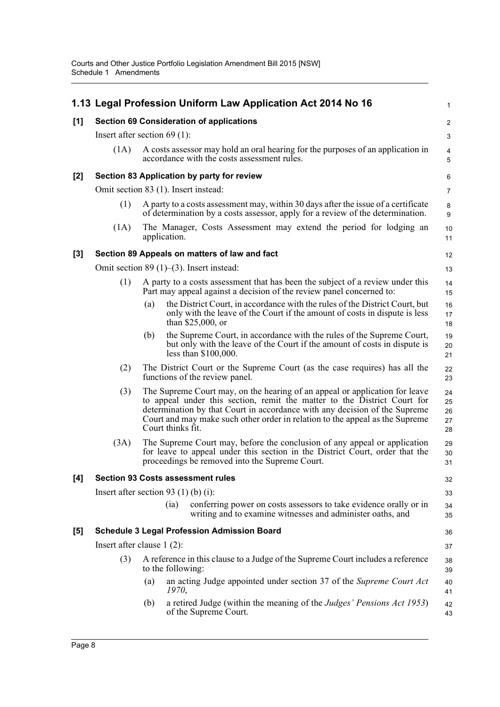|       |                                                 |     | 1.13 Legal Profession Uniform Law Application Act 2014 No 16                                                                                                                                                                                                                                                                               | 1                          |  |
|-------|-------------------------------------------------|-----|--------------------------------------------------------------------------------------------------------------------------------------------------------------------------------------------------------------------------------------------------------------------------------------------------------------------------------------------|----------------------------|--|
| [1]   | <b>Section 69 Consideration of applications</b> |     |                                                                                                                                                                                                                                                                                                                                            |                            |  |
|       | Insert after section 69 $(1)$ :                 |     |                                                                                                                                                                                                                                                                                                                                            | 3                          |  |
|       | (1A)                                            |     | A costs assessor may hold an oral hearing for the purposes of an application in<br>accordance with the costs assessment rules.                                                                                                                                                                                                             | 4<br>5                     |  |
| $[2]$ |                                                 |     | Section 83 Application by party for review                                                                                                                                                                                                                                                                                                 | 6                          |  |
|       |                                                 |     | Omit section 83 (1). Insert instead:                                                                                                                                                                                                                                                                                                       | $\overline{7}$             |  |
|       | (1)                                             |     | A party to a costs assessment may, within 30 days after the issue of a certificate<br>of determination by a costs assessor, apply for a review of the determination.                                                                                                                                                                       | 8<br>9                     |  |
|       | (1A)                                            |     | The Manager, Costs Assessment may extend the period for lodging an<br>application.                                                                                                                                                                                                                                                         | 10<br>11                   |  |
| $[3]$ |                                                 |     | Section 89 Appeals on matters of law and fact                                                                                                                                                                                                                                                                                              | 12                         |  |
|       |                                                 |     | Omit section 89 $(1)$ – $(3)$ . Insert instead:                                                                                                                                                                                                                                                                                            | 13                         |  |
|       | (1)                                             |     | A party to a costs assessment that has been the subject of a review under this<br>Part may appeal against a decision of the review panel concerned to:                                                                                                                                                                                     | 14<br>15                   |  |
|       |                                                 | (a) | the District Court, in accordance with the rules of the District Court, but<br>only with the leave of the Court if the amount of costs in dispute is less<br>than $$25,000$ , or                                                                                                                                                           | 16<br>17<br>18             |  |
|       |                                                 | (b) | the Supreme Court, in accordance with the rules of the Supreme Court,<br>but only with the leave of the Court if the amount of costs in dispute is<br>less than $$100,000$ .                                                                                                                                                               | 19<br>20<br>21             |  |
|       | (2)                                             |     | The District Court or the Supreme Court (as the case requires) has all the<br>functions of the review panel.                                                                                                                                                                                                                               | 22<br>23                   |  |
|       | (3)                                             |     | The Supreme Court may, on the hearing of an appeal or application for leave<br>to appeal under this section, remit the matter to the District Court for<br>determination by that Court in accordance with any decision of the Supreme<br>Court and may make such other order in relation to the appeal as the Supreme<br>Court thinks fit. | 24<br>25<br>26<br>27<br>28 |  |
|       | (3A)                                            |     | The Supreme Court may, before the conclusion of any appeal or application<br>for leave to appeal under this section in the District Court, order that the<br>proceedings be removed into the Supreme Court.                                                                                                                                | 29<br>30<br>31             |  |
| [4]   |                                                 |     | <b>Section 93 Costs assessment rules</b>                                                                                                                                                                                                                                                                                                   | 32                         |  |
|       |                                                 |     | Insert after section 93 $(1)$ (b) $(i)$ :                                                                                                                                                                                                                                                                                                  | 33                         |  |
|       |                                                 |     | conferring power on costs assessors to take evidence orally or in<br>(ia)<br>writing and to examine witnesses and administer oaths, and                                                                                                                                                                                                    | 34<br>35                   |  |
| [5]   |                                                 |     | <b>Schedule 3 Legal Profession Admission Board</b>                                                                                                                                                                                                                                                                                         | 36                         |  |
|       | Insert after clause $1(2)$ :                    |     |                                                                                                                                                                                                                                                                                                                                            | 37                         |  |
|       | (3)                                             |     | A reference in this clause to a Judge of the Supreme Court includes a reference<br>to the following:                                                                                                                                                                                                                                       | 38<br>39                   |  |
|       |                                                 | (a) | an acting Judge appointed under section 37 of the Supreme Court Act<br>1970.                                                                                                                                                                                                                                                               | 40<br>41                   |  |
|       |                                                 | (b) | a retired Judge (within the meaning of the <i>Judges' Pensions Act 1953</i> )<br>of the Supreme Court.                                                                                                                                                                                                                                     | 42<br>43                   |  |